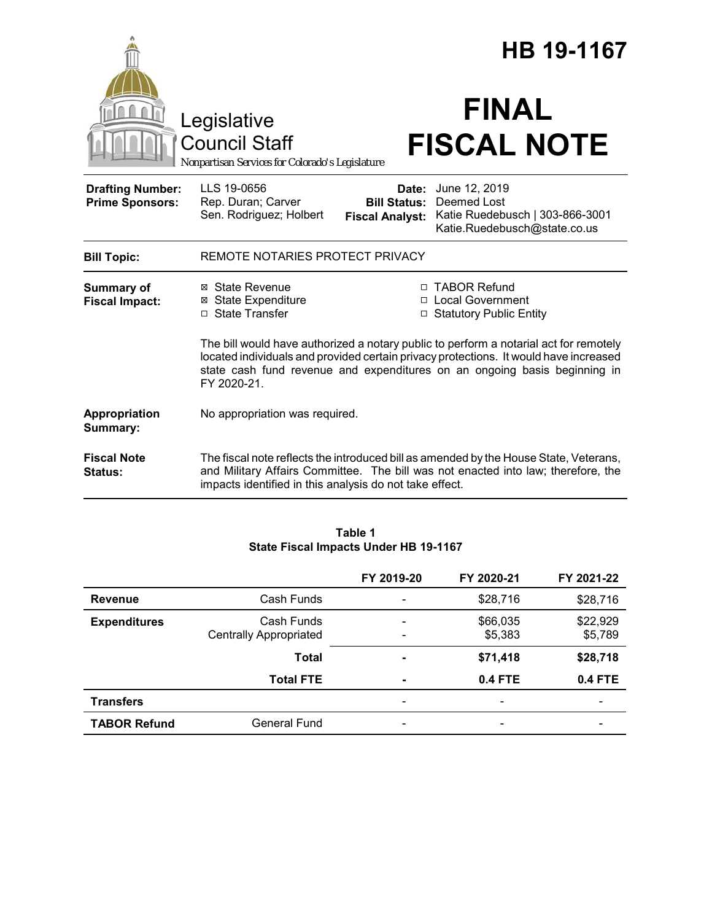|                                                   |                                                                                        |                                                        | HB 19-1167                                                                                                                                                                                                                                                  |
|---------------------------------------------------|----------------------------------------------------------------------------------------|--------------------------------------------------------|-------------------------------------------------------------------------------------------------------------------------------------------------------------------------------------------------------------------------------------------------------------|
|                                                   | Legislative<br><b>Council Staff</b><br>Nonpartisan Services for Colorado's Legislature |                                                        | <b>FINAL</b><br><b>FISCAL NOTE</b>                                                                                                                                                                                                                          |
| <b>Drafting Number:</b><br><b>Prime Sponsors:</b> | LLS 19-0656<br>Rep. Duran; Carver<br>Sen. Rodriguez; Holbert                           | Date:<br><b>Bill Status:</b><br><b>Fiscal Analyst:</b> | June 12, 2019<br>Deemed Lost<br>Katie Ruedebusch   303-866-3001<br>Katie.Ruedebusch@state.co.us                                                                                                                                                             |
| <b>Bill Topic:</b>                                | REMOTE NOTARIES PROTECT PRIVACY                                                        |                                                        |                                                                                                                                                                                                                                                             |
| Summary of<br><b>Fiscal Impact:</b>               | ⊠ State Revenue<br><b>State Expenditure</b><br>⊠<br>□ State Transfer                   |                                                        | □ TABOR Refund<br>□ Local Government<br>□ Statutory Public Entity                                                                                                                                                                                           |
|                                                   | FY 2020-21.                                                                            |                                                        | The bill would have authorized a notary public to perform a notarial act for remotely<br>located individuals and provided certain privacy protections. It would have increased<br>state cash fund revenue and expenditures on an ongoing basis beginning in |
| Appropriation<br><b>Summary:</b>                  | No appropriation was required.                                                         |                                                        |                                                                                                                                                                                                                                                             |
| <b>Fiscal Note</b><br><b>Status:</b>              | impacts identified in this analysis do not take effect.                                |                                                        | The fiscal note reflects the introduced bill as amended by the House State, Veterans,<br>and Military Affairs Committee. The bill was not enacted into law; therefore, the                                                                                  |

#### **Table 1 State Fiscal Impacts Under HB 19-1167**

|                     |                                             | FY 2019-20                    | FY 2020-21               | FY 2021-22          |
|---------------------|---------------------------------------------|-------------------------------|--------------------------|---------------------|
| <b>Revenue</b>      | Cash Funds                                  | -                             | \$28,716                 | \$28,716            |
| <b>Expenditures</b> | Cash Funds<br><b>Centrally Appropriated</b> | $\overline{\phantom{0}}$<br>- | \$66,035<br>\$5,383      | \$22,929<br>\$5,789 |
|                     | <b>Total</b>                                | ۰                             | \$71,418                 | \$28,718            |
|                     | <b>Total FTE</b>                            | $\blacksquare$                | 0.4 FTE                  | 0.4 FTE             |
| <b>Transfers</b>    |                                             | -                             | $\overline{\phantom{0}}$ | ۰                   |
| <b>TABOR Refund</b> | General Fund                                | -                             | $\overline{\phantom{0}}$ |                     |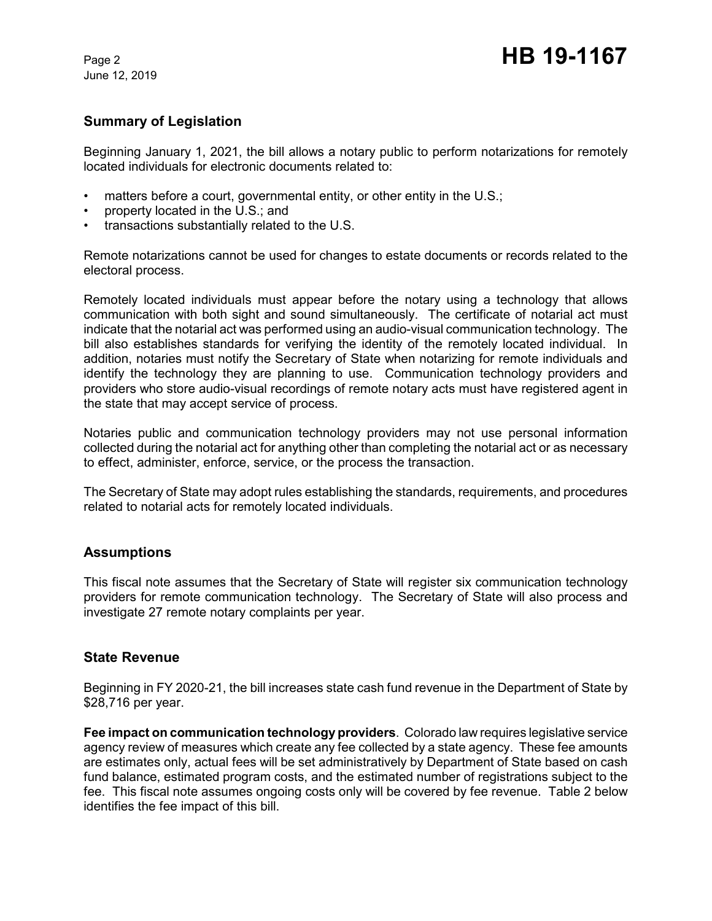June 12, 2019

## **Summary of Legislation**

Beginning January 1, 2021, the bill allows a notary public to perform notarizations for remotely located individuals for electronic documents related to:

- matters before a court, governmental entity, or other entity in the U.S.;
- property located in the U.S.; and
- transactions substantially related to the U.S.

Remote notarizations cannot be used for changes to estate documents or records related to the electoral process.

Remotely located individuals must appear before the notary using a technology that allows communication with both sight and sound simultaneously. The certificate of notarial act must indicate that the notarial act was performed using an audio-visual communication technology. The bill also establishes standards for verifying the identity of the remotely located individual. In addition, notaries must notify the Secretary of State when notarizing for remote individuals and identify the technology they are planning to use. Communication technology providers and providers who store audio-visual recordings of remote notary acts must have registered agent in the state that may accept service of process.

Notaries public and communication technology providers may not use personal information collected during the notarial act for anything other than completing the notarial act or as necessary to effect, administer, enforce, service, or the process the transaction.

The Secretary of State may adopt rules establishing the standards, requirements, and procedures related to notarial acts for remotely located individuals.

### **Assumptions**

This fiscal note assumes that the Secretary of State will register six communication technology providers for remote communication technology. The Secretary of State will also process and investigate 27 remote notary complaints per year.

### **State Revenue**

Beginning in FY 2020-21, the bill increases state cash fund revenue in the Department of State by \$28,716 per year.

**Fee impact on communication technology providers**. Colorado law requires legislative service agency review of measures which create any fee collected by a state agency. These fee amounts are estimates only, actual fees will be set administratively by Department of State based on cash fund balance, estimated program costs, and the estimated number of registrations subject to the fee. This fiscal note assumes ongoing costs only will be covered by fee revenue. Table 2 below identifies the fee impact of this bill.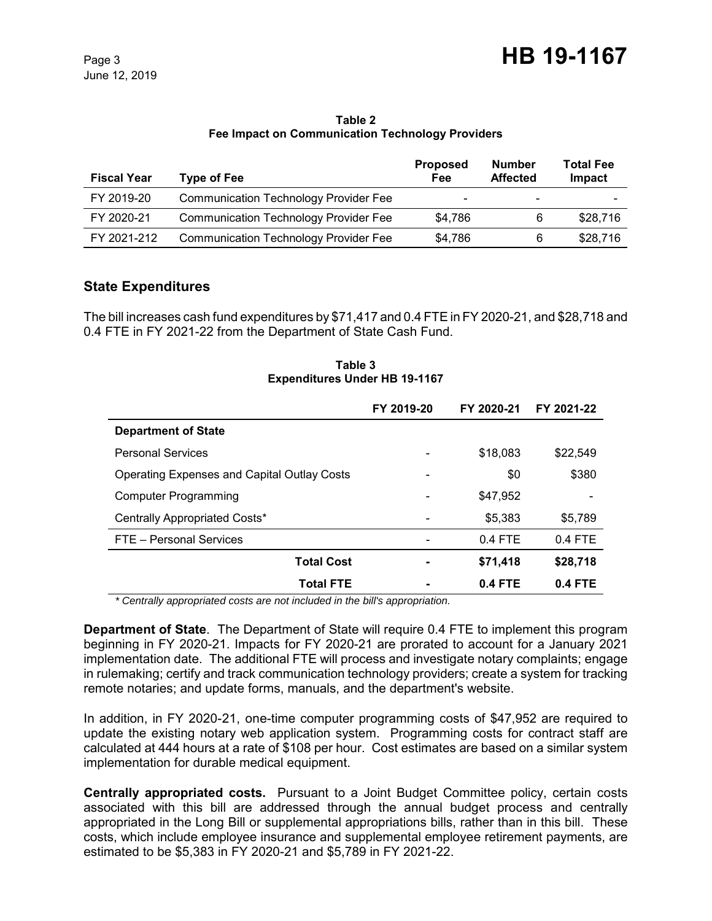#### **Table 2 Fee Impact on Communication Technology Providers**

| <b>Fiscal Year</b> | <b>Type of Fee</b>                           | <b>Proposed</b><br>Fee   | <b>Number</b><br><b>Affected</b> | <b>Total Fee</b><br>Impact |
|--------------------|----------------------------------------------|--------------------------|----------------------------------|----------------------------|
| FY 2019-20         | <b>Communication Technology Provider Fee</b> | $\overline{\phantom{0}}$ | $\overline{\phantom{0}}$         |                            |
| FY 2020-21         | <b>Communication Technology Provider Fee</b> | \$4.786                  | 6                                | \$28,716                   |
| FY 2021-212        | <b>Communication Technology Provider Fee</b> | \$4,786                  | 6                                | \$28,716                   |

## **State Expenditures**

The bill increases cash fund expenditures by \$71,417 and 0.4 FTE in FY 2020-21, and \$28,718 and 0.4 FTE in FY 2021-22 from the Department of State Cash Fund.

#### **Table 3 Expenditures Under HB 19-1167**

|                                                    | FY 2019-20 | FY 2020-21     | FY 2021-22 |
|----------------------------------------------------|------------|----------------|------------|
| <b>Department of State</b>                         |            |                |            |
| <b>Personal Services</b>                           |            | \$18,083       | \$22,549   |
| <b>Operating Expenses and Capital Outlay Costs</b> |            | \$0            | \$380      |
| <b>Computer Programming</b>                        |            | \$47.952       |            |
| Centrally Appropriated Costs*                      |            | \$5,383        | \$5,789    |
| FTE - Personal Services                            |            | $0.4$ FTE      | $0.4$ FTE  |
| <b>Total Cost</b>                                  |            | \$71,418       | \$28,718   |
| <b>Total FTE</b>                                   |            | <b>0.4 FTE</b> | $0.4$ FTE  |

 *\* Centrally appropriated costs are not included in the bill's appropriation.*

**Department of State**. The Department of State will require 0.4 FTE to implement this program beginning in FY 2020-21. Impacts for FY 2020-21 are prorated to account for a January 2021 implementation date. The additional FTE will process and investigate notary complaints; engage in rulemaking; certify and track communication technology providers; create a system for tracking remote notaries; and update forms, manuals, and the department's website.

In addition, in FY 2020-21, one-time computer programming costs of \$47,952 are required to update the existing notary web application system. Programming costs for contract staff are calculated at 444 hours at a rate of \$108 per hour. Cost estimates are based on a similar system implementation for durable medical equipment.

**Centrally appropriated costs.** Pursuant to a Joint Budget Committee policy, certain costs associated with this bill are addressed through the annual budget process and centrally appropriated in the Long Bill or supplemental appropriations bills, rather than in this bill. These costs, which include employee insurance and supplemental employee retirement payments, are estimated to be \$5,383 in FY 2020-21 and \$5,789 in FY 2021-22.